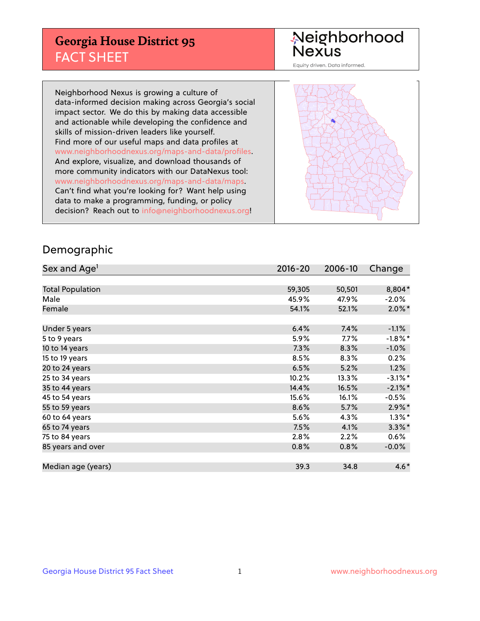## **Georgia House District 95** FACT SHEET

# Neighborhood<br>Nexus

Equity driven. Data informed.

Neighborhood Nexus is growing a culture of data-informed decision making across Georgia's social impact sector. We do this by making data accessible and actionable while developing the confidence and skills of mission-driven leaders like yourself. Find more of our useful maps and data profiles at www.neighborhoodnexus.org/maps-and-data/profiles. And explore, visualize, and download thousands of more community indicators with our DataNexus tool: www.neighborhoodnexus.org/maps-and-data/maps. Can't find what you're looking for? Want help using data to make a programming, funding, or policy decision? Reach out to [info@neighborhoodnexus.org!](mailto:info@neighborhoodnexus.org)



### Demographic

| Sex and Age <sup>1</sup> | $2016 - 20$ | 2006-10 | Change     |
|--------------------------|-------------|---------|------------|
|                          |             |         |            |
| <b>Total Population</b>  | 59,305      | 50,501  | 8,804*     |
| Male                     | 45.9%       | 47.9%   | $-2.0\%$   |
| Female                   | 54.1%       | 52.1%   | $2.0\%$ *  |
|                          |             |         |            |
| Under 5 years            | 6.4%        | 7.4%    | $-1.1%$    |
| 5 to 9 years             | 5.9%        | $7.7\%$ | $-1.8%$ *  |
| 10 to 14 years           | 7.3%        | 8.3%    | $-1.0%$    |
| 15 to 19 years           | 8.5%        | 8.3%    | 0.2%       |
| 20 to 24 years           | 6.5%        | 5.2%    | 1.2%       |
| 25 to 34 years           | 10.2%       | 13.3%   | $-3.1\%$ * |
| 35 to 44 years           | 14.4%       | 16.5%   | $-2.1\%$ * |
| 45 to 54 years           | 15.6%       | 16.1%   | $-0.5%$    |
| 55 to 59 years           | 8.6%        | 5.7%    | $2.9\%$ *  |
| 60 to 64 years           | 5.6%        | 4.3%    | $1.3\%$ *  |
| 65 to 74 years           | 7.5%        | 4.1%    | $3.3\%$ *  |
| 75 to 84 years           | 2.8%        | 2.2%    | $0.6\%$    |
| 85 years and over        | 0.8%        | 0.8%    | $-0.0%$    |
|                          |             |         |            |
| Median age (years)       | 39.3        | 34.8    | $4.6*$     |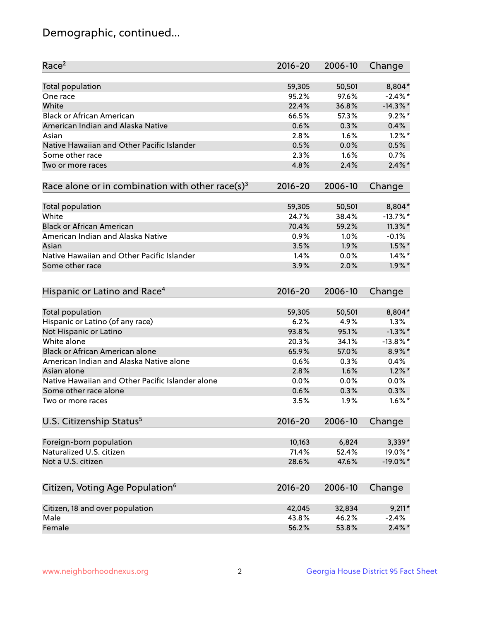## Demographic, continued...

| Race <sup>2</sup>                                            | $2016 - 20$ | 2006-10        | Change      |
|--------------------------------------------------------------|-------------|----------------|-------------|
| <b>Total population</b>                                      | 59,305      | 50,501         | 8,804*      |
| One race                                                     | 95.2%       | 97.6%          | $-2.4\%$ *  |
| White                                                        | 22.4%       | 36.8%          | $-14.3\%$ * |
| <b>Black or African American</b>                             | 66.5%       | 57.3%          | $9.2\%$ *   |
| American Indian and Alaska Native                            | 0.6%        | 0.3%           | 0.4%        |
| Asian                                                        | 2.8%        | 1.6%           | $1.2\%$ *   |
| Native Hawaiian and Other Pacific Islander                   | 0.5%        | 0.0%           | 0.5%        |
| Some other race                                              | 2.3%        | 1.6%           | 0.7%        |
| Two or more races                                            | 4.8%        | 2.4%           | $2.4\%$ *   |
| Race alone or in combination with other race(s) <sup>3</sup> | $2016 - 20$ | 2006-10        | Change      |
| Total population                                             | 59,305      | 50,501         | 8,804*      |
| White                                                        | 24.7%       | 38.4%          | $-13.7\%$ * |
| <b>Black or African American</b>                             | 70.4%       | 59.2%          | $11.3\%$ *  |
| American Indian and Alaska Native                            | 0.9%        | 1.0%           | $-0.1%$     |
| Asian                                                        | 3.5%        | 1.9%           | $1.5\%$ *   |
| Native Hawaiian and Other Pacific Islander                   | 1.4%        | 0.0%           | $1.4\%$ *   |
| Some other race                                              | 3.9%        | 2.0%           | $1.9\%$ *   |
|                                                              |             |                |             |
| Hispanic or Latino and Race <sup>4</sup>                     | $2016 - 20$ | 2006-10        | Change      |
| <b>Total population</b>                                      | 59,305      | 50,501         | 8,804*      |
| Hispanic or Latino (of any race)                             | 6.2%        | 4.9%           | 1.3%        |
| Not Hispanic or Latino                                       | 93.8%       | 95.1%          | $-1.3\%$ *  |
| White alone                                                  | 20.3%       | 34.1%          | $-13.8\%$ * |
| <b>Black or African American alone</b>                       | 65.9%       | 57.0%          | 8.9%*       |
| American Indian and Alaska Native alone                      | 0.6%        | 0.3%           | 0.4%        |
| Asian alone                                                  | 2.8%        | 1.6%           | $1.2\%$ *   |
| Native Hawaiian and Other Pacific Islander alone             | 0.0%        | 0.0%           | $0.0\%$     |
| Some other race alone                                        | 0.6%        | 0.3%           | 0.3%        |
| Two or more races                                            | 3.5%        | 1.9%           | $1.6\%$ *   |
| U.S. Citizenship Status <sup>5</sup>                         | $2016 - 20$ | 2006-10        | Change      |
|                                                              | 10,163      |                | $3,339*$    |
| Foreign-born population<br>Naturalized U.S. citizen          | 71.4%       | 6,824<br>52.4% | 19.0%*      |
|                                                              |             |                | $-19.0\%$ * |
| Not a U.S. citizen                                           | 28.6%       | 47.6%          |             |
| Citizen, Voting Age Population <sup>6</sup>                  | $2016 - 20$ | 2006-10        | Change      |
| Citizen, 18 and over population                              | 42,045      | 32,834         | $9,211*$    |
| Male                                                         | 43.8%       | 46.2%          | $-2.4%$     |
| Female                                                       | 56.2%       | 53.8%          | $2.4\%$ *   |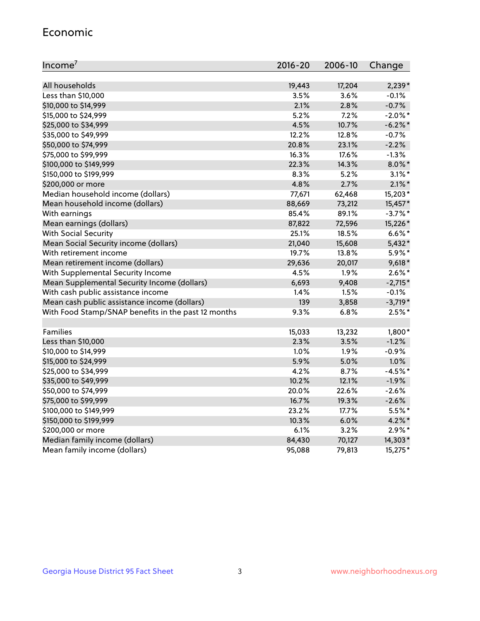#### Economic

| Income <sup>7</sup>                                 | $2016 - 20$ | 2006-10 | Change     |
|-----------------------------------------------------|-------------|---------|------------|
|                                                     |             |         |            |
| All households                                      | 19,443      | 17,204  | $2,239*$   |
| Less than \$10,000                                  | 3.5%        | 3.6%    | $-0.1%$    |
| \$10,000 to \$14,999                                | 2.1%        | 2.8%    | $-0.7%$    |
| \$15,000 to \$24,999                                | 5.2%        | 7.2%    | $-2.0\%$ * |
| \$25,000 to \$34,999                                | 4.5%        | 10.7%   | $-6.2\%$ * |
| \$35,000 to \$49,999                                | 12.2%       | 12.8%   | $-0.7%$    |
| \$50,000 to \$74,999                                | 20.8%       | 23.1%   | $-2.2%$    |
| \$75,000 to \$99,999                                | 16.3%       | 17.6%   | $-1.3%$    |
| \$100,000 to \$149,999                              | 22.3%       | 14.3%   | $8.0\%$ *  |
| \$150,000 to \$199,999                              | 8.3%        | 5.2%    | $3.1\%$ *  |
| \$200,000 or more                                   | 4.8%        | 2.7%    | $2.1\%$ *  |
| Median household income (dollars)                   | 77,671      | 62,468  | 15,203*    |
| Mean household income (dollars)                     | 88,669      | 73,212  | 15,457*    |
| With earnings                                       | 85.4%       | 89.1%   | $-3.7\%$ * |
| Mean earnings (dollars)                             | 87,822      | 72,596  | 15,226*    |
| <b>With Social Security</b>                         | 25.1%       | 18.5%   | $6.6\%$ *  |
| Mean Social Security income (dollars)               | 21,040      | 15,608  | $5,432*$   |
| With retirement income                              | 19.7%       | 13.8%   | 5.9%*      |
| Mean retirement income (dollars)                    | 29,636      | 20,017  | $9,618*$   |
| With Supplemental Security Income                   | 4.5%        | 1.9%    | $2.6\%$ *  |
| Mean Supplemental Security Income (dollars)         | 6,693       | 9,408   | $-2,715*$  |
| With cash public assistance income                  | 1.4%        | 1.5%    | $-0.1%$    |
| Mean cash public assistance income (dollars)        | 139         | 3,858   | $-3,719*$  |
| With Food Stamp/SNAP benefits in the past 12 months | 9.3%        | 6.8%    | $2.5%$ *   |
|                                                     |             |         |            |
| Families                                            | 15,033      | 13,232  | $1,800*$   |
| Less than \$10,000                                  | 2.3%        | 3.5%    | $-1.2%$    |
| \$10,000 to \$14,999                                | 1.0%        | 1.9%    | $-0.9%$    |
| \$15,000 to \$24,999                                | 5.9%        | 5.0%    | 1.0%       |
| \$25,000 to \$34,999                                | 4.2%        | 8.7%    | $-4.5%$ *  |
| \$35,000 to \$49,999                                | 10.2%       | 12.1%   | $-1.9%$    |
| \$50,000 to \$74,999                                | 20.0%       | 22.6%   | $-2.6%$    |
| \$75,000 to \$99,999                                | 16.7%       | 19.3%   | $-2.6%$    |
| \$100,000 to \$149,999                              | 23.2%       | 17.7%   | $5.5%$ *   |
| \$150,000 to \$199,999                              | 10.3%       | 6.0%    | $4.2\%$ *  |
| \$200,000 or more                                   | 6.1%        | 3.2%    | $2.9\%*$   |
| Median family income (dollars)                      | 84,430      | 70,127  | 14,303*    |
| Mean family income (dollars)                        | 95,088      | 79,813  | 15,275*    |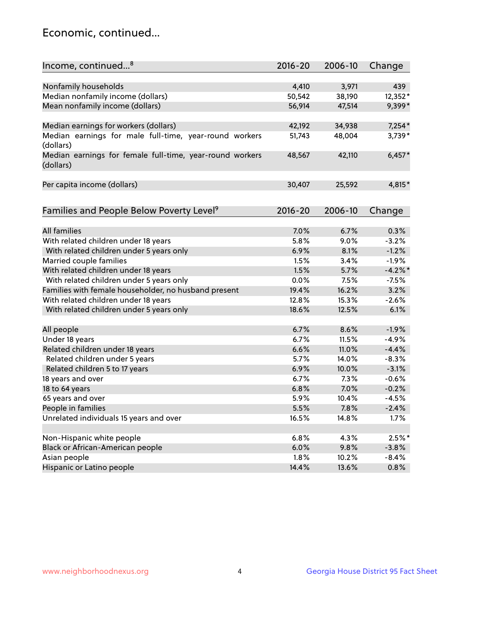## Economic, continued...

| Income, continued <sup>8</sup>                           | $2016 - 20$ | 2006-10 | Change   |
|----------------------------------------------------------|-------------|---------|----------|
|                                                          |             |         |          |
| Nonfamily households                                     | 4,410       | 3,971   | 439      |
| Median nonfamily income (dollars)                        | 50,542      | 38,190  | 12,352*  |
| Mean nonfamily income (dollars)                          | 56,914      | 47,514  | 9,399*   |
|                                                          |             |         |          |
| Median earnings for workers (dollars)                    | 42,192      | 34,938  | $7,254*$ |
| Median earnings for male full-time, year-round workers   | 51,743      | 48,004  | 3,739*   |
| (dollars)                                                |             |         |          |
| Median earnings for female full-time, year-round workers | 48,567      | 42,110  | $6,457*$ |
| (dollars)                                                |             |         |          |
|                                                          |             |         |          |
| Per capita income (dollars)                              | 30,407      | 25,592  | 4,815*   |
|                                                          |             |         |          |
|                                                          |             |         |          |
| Families and People Below Poverty Level <sup>9</sup>     | $2016 - 20$ | 2006-10 | Change   |
|                                                          |             |         |          |
| <b>All families</b>                                      | 7.0%        | 6.7%    | 0.3%     |
| With related children under 18 years                     | 5.8%        | 9.0%    | $-3.2%$  |
| With related children under 5 years only                 | 6.9%        | 8.1%    | $-1.2%$  |
| Married couple families                                  | 1.5%        | 3.4%    | $-1.9%$  |
| With related children under 18 years                     | 1.5%        | 5.7%    | $-4.2%$  |
| With related children under 5 years only                 | 0.0%        | 7.5%    | $-7.5%$  |
| Families with female householder, no husband present     | 19.4%       | 16.2%   | 3.2%     |
| With related children under 18 years                     | 12.8%       | 15.3%   | $-2.6%$  |
| With related children under 5 years only                 | 18.6%       | 12.5%   | 6.1%     |
|                                                          |             |         |          |
| All people                                               | 6.7%        | 8.6%    | $-1.9%$  |
| Under 18 years                                           | 6.7%        | 11.5%   | $-4.9%$  |
| Related children under 18 years                          | 6.6%        | 11.0%   | $-4.4%$  |
| Related children under 5 years                           | 5.7%        | 14.0%   | $-8.3%$  |
| Related children 5 to 17 years                           | 6.9%        | 10.0%   | $-3.1%$  |
| 18 years and over                                        | 6.7%        | 7.3%    | $-0.6%$  |
| 18 to 64 years                                           | 6.8%        | 7.0%    | $-0.2%$  |
| 65 years and over                                        | 5.9%        | 10.4%   | $-4.5%$  |
| People in families                                       | 5.5%        | 7.8%    | $-2.4%$  |
| Unrelated individuals 15 years and over                  | 16.5%       | 14.8%   | 1.7%     |
|                                                          |             |         |          |
| Non-Hispanic white people                                | 6.8%        | 4.3%    | $2.5%$ * |
| Black or African-American people                         | 6.0%        | 9.8%    | $-3.8%$  |
| Asian people                                             | 1.8%        | 10.2%   | $-8.4%$  |
| Hispanic or Latino people                                | 14.4%       | 13.6%   | 0.8%     |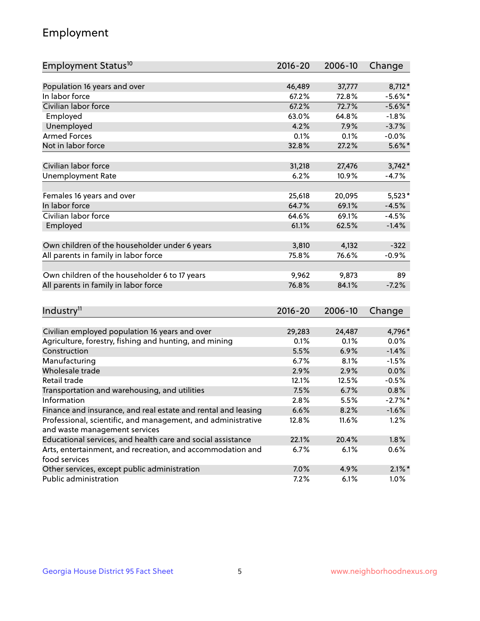## Employment

| Employment Status <sup>10</sup>                                             | $2016 - 20$ | 2006-10 | Change     |
|-----------------------------------------------------------------------------|-------------|---------|------------|
|                                                                             |             |         |            |
| Population 16 years and over                                                | 46,489      | 37,777  | 8,712*     |
| In labor force                                                              | 67.2%       | 72.8%   | $-5.6\%$ * |
| Civilian labor force                                                        | 67.2%       | 72.7%   | $-5.6\%$ * |
| Employed                                                                    | 63.0%       | 64.8%   | $-1.8%$    |
| Unemployed                                                                  | 4.2%        | 7.9%    | $-3.7%$    |
| <b>Armed Forces</b>                                                         | 0.1%        | 0.1%    | $-0.0%$    |
| Not in labor force                                                          | 32.8%       | 27.2%   | $5.6\%$ *  |
| Civilian labor force                                                        | 31,218      | 27,476  | $3,742*$   |
| <b>Unemployment Rate</b>                                                    | 6.2%        | 10.9%   | $-4.7%$    |
|                                                                             |             |         |            |
| Females 16 years and over                                                   | 25,618      | 20,095  | $5,523*$   |
| In labor force                                                              | 64.7%       | 69.1%   | $-4.5%$    |
| Civilian labor force                                                        | 64.6%       | 69.1%   | $-4.5%$    |
| Employed                                                                    | 61.1%       | 62.5%   | $-1.4%$    |
| Own children of the householder under 6 years                               | 3,810       | 4,132   | $-322$     |
| All parents in family in labor force                                        | 75.8%       | 76.6%   | $-0.9%$    |
|                                                                             |             |         |            |
| Own children of the householder 6 to 17 years                               | 9,962       | 9,873   | 89         |
| All parents in family in labor force                                        | 76.8%       | 84.1%   | $-7.2%$    |
|                                                                             |             |         |            |
| Industry <sup>11</sup>                                                      | $2016 - 20$ | 2006-10 | Change     |
|                                                                             |             |         |            |
| Civilian employed population 16 years and over                              | 29,283      | 24,487  | 4,796*     |
| Agriculture, forestry, fishing and hunting, and mining                      | 0.1%        | 0.1%    | 0.0%       |
| Construction                                                                | 5.5%        | 6.9%    | $-1.4%$    |
| Manufacturing                                                               | 6.7%        | 8.1%    | $-1.5%$    |
| Wholesale trade                                                             | 2.9%        | 2.9%    | 0.0%       |
| Retail trade                                                                | 12.1%       | 12.5%   | $-0.5%$    |
| Transportation and warehousing, and utilities                               | 7.5%        | 6.7%    | 0.8%       |
| Information                                                                 | 2.8%        | 5.5%    | $-2.7%$ *  |
| Finance and insurance, and real estate and rental and leasing               | 6.6%        | 8.2%    | $-1.6%$    |
| Professional, scientific, and management, and administrative                | 12.8%       | 11.6%   | 1.2%       |
| and waste management services                                               |             |         |            |
| Educational services, and health care and social assistance                 | 22.1%       | 20.4%   | 1.8%       |
| Arts, entertainment, and recreation, and accommodation and<br>food services | 6.7%        | 6.1%    | $0.6\%$    |
| Other services, except public administration                                | 7.0%        | 4.9%    | $2.1\%$ *  |
| Public administration                                                       | 7.2%        | 6.1%    | 1.0%       |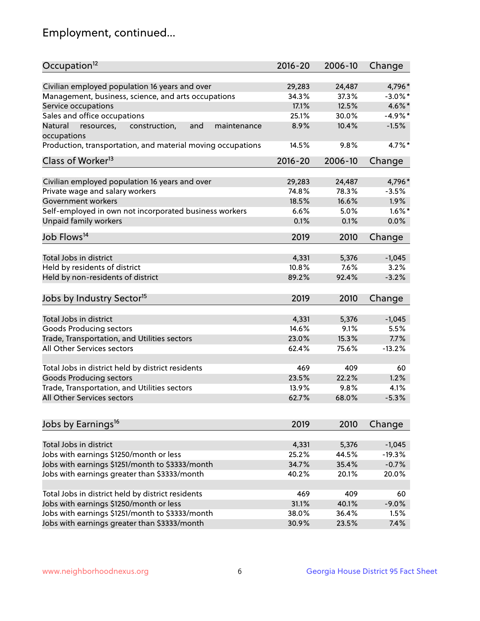## Employment, continued...

| Occupation <sup>12</sup>                                     | $2016 - 20$ | 2006-10 | Change     |
|--------------------------------------------------------------|-------------|---------|------------|
| Civilian employed population 16 years and over               | 29,283      | 24,487  | 4,796*     |
| Management, business, science, and arts occupations          | 34.3%       | 37.3%   | $-3.0\%$ * |
| Service occupations                                          | 17.1%       | 12.5%   | 4.6%*      |
| Sales and office occupations                                 | 25.1%       | 30.0%   | $-4.9%$ *  |
| Natural<br>and<br>resources,<br>construction,<br>maintenance | 8.9%        | 10.4%   | $-1.5%$    |
| occupations                                                  |             |         |            |
| Production, transportation, and material moving occupations  | 14.5%       | 9.8%    | 4.7%*      |
| Class of Worker <sup>13</sup>                                | $2016 - 20$ | 2006-10 | Change     |
|                                                              |             |         |            |
| Civilian employed population 16 years and over               | 29,283      | 24,487  | 4,796*     |
| Private wage and salary workers                              | 74.8%       | 78.3%   | $-3.5%$    |
| Government workers                                           | 18.5%       | 16.6%   | 1.9%       |
| Self-employed in own not incorporated business workers       | 6.6%        | 5.0%    | $1.6\%$ *  |
| Unpaid family workers                                        | 0.1%        | 0.1%    | 0.0%       |
| Job Flows <sup>14</sup>                                      | 2019        | 2010    | Change     |
|                                                              |             |         |            |
| Total Jobs in district                                       | 4,331       | 5,376   | $-1,045$   |
| Held by residents of district                                | 10.8%       | 7.6%    | 3.2%       |
| Held by non-residents of district                            | 89.2%       | 92.4%   | $-3.2%$    |
| Jobs by Industry Sector <sup>15</sup>                        | 2019        | 2010    | Change     |
|                                                              |             |         |            |
| Total Jobs in district                                       | 4,331       | 5,376   | $-1,045$   |
| Goods Producing sectors                                      | 14.6%       | 9.1%    | 5.5%       |
| Trade, Transportation, and Utilities sectors                 | 23.0%       | 15.3%   | 7.7%       |
| All Other Services sectors                                   | 62.4%       | 75.6%   | $-13.2%$   |
| Total Jobs in district held by district residents            | 469         | 409     | 60         |
| <b>Goods Producing sectors</b>                               | 23.5%       | 22.2%   | 1.2%       |
| Trade, Transportation, and Utilities sectors                 | 13.9%       | 9.8%    | 4.1%       |
| All Other Services sectors                                   | 62.7%       | 68.0%   | $-5.3%$    |
|                                                              |             |         |            |
| Jobs by Earnings <sup>16</sup>                               | 2019        | 2010    | Change     |
|                                                              |             |         |            |
| Total Jobs in district                                       | 4,331       | 5,376   | $-1,045$   |
| Jobs with earnings \$1250/month or less                      | 25.2%       | 44.5%   | $-19.3%$   |
| Jobs with earnings \$1251/month to \$3333/month              | 34.7%       | 35.4%   | $-0.7%$    |
| Jobs with earnings greater than \$3333/month                 | 40.2%       | 20.1%   | 20.0%      |
| Total Jobs in district held by district residents            | 469         | 409     | 60         |
| Jobs with earnings \$1250/month or less                      | 31.1%       | 40.1%   | $-9.0%$    |
| Jobs with earnings \$1251/month to \$3333/month              | 38.0%       | 36.4%   | 1.5%       |
| Jobs with earnings greater than \$3333/month                 | 30.9%       | 23.5%   | 7.4%       |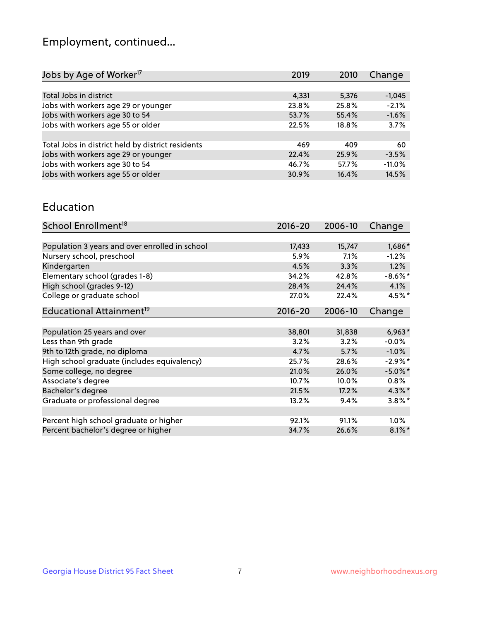## Employment, continued...

| Jobs by Age of Worker <sup>17</sup>               | 2019  | 2010  | Change   |
|---------------------------------------------------|-------|-------|----------|
|                                                   |       |       |          |
| Total Jobs in district                            | 4,331 | 5,376 | $-1,045$ |
| Jobs with workers age 29 or younger               | 23.8% | 25.8% | $-2.1%$  |
| Jobs with workers age 30 to 54                    | 53.7% | 55.4% | $-1.6%$  |
| Jobs with workers age 55 or older                 | 22.5% | 18.8% | 3.7%     |
|                                                   |       |       |          |
| Total Jobs in district held by district residents | 469   | 409   | 60       |
| Jobs with workers age 29 or younger               | 22.4% | 25.9% | $-3.5%$  |
| Jobs with workers age 30 to 54                    | 46.7% | 57.7% | $-11.0%$ |
| Jobs with workers age 55 or older                 | 30.9% | 16.4% | 14.5%    |

#### Education

| School Enrollment <sup>18</sup>                | $2016 - 20$ | 2006-10 | Change     |
|------------------------------------------------|-------------|---------|------------|
|                                                |             |         |            |
| Population 3 years and over enrolled in school | 17,433      | 15,747  | 1,686*     |
| Nursery school, preschool                      | 5.9%        | 7.1%    | $-1.2%$    |
| Kindergarten                                   | 4.5%        | 3.3%    | 1.2%       |
| Elementary school (grades 1-8)                 | 34.2%       | 42.8%   | $-8.6\%$ * |
| High school (grades 9-12)                      | 28.4%       | 24.4%   | 4.1%       |
| College or graduate school                     | 27.0%       | 22.4%   | $4.5%$ *   |
| Educational Attainment <sup>19</sup>           | $2016 - 20$ | 2006-10 | Change     |
|                                                |             |         |            |
| Population 25 years and over                   | 38,801      | 31,838  | $6,963*$   |
| Less than 9th grade                            | 3.2%        | 3.2%    | $-0.0%$    |
| 9th to 12th grade, no diploma                  | 4.7%        | 5.7%    | $-1.0%$    |
| High school graduate (includes equivalency)    | 25.7%       | 28.6%   | $-2.9\%*$  |
| Some college, no degree                        | 21.0%       | 26.0%   | $-5.0\%$ * |
| Associate's degree                             | 10.7%       | 10.0%   | $0.8\%$    |
| Bachelor's degree                              | 21.5%       | 17.2%   | $4.3\%$ *  |
| Graduate or professional degree                | 13.2%       | 9.4%    | $3.8\%$ *  |
|                                                |             |         |            |
| Percent high school graduate or higher         | 92.1%       | 91.1%   | 1.0%       |
| Percent bachelor's degree or higher            | 34.7%       | 26.6%   | $8.1\%$ *  |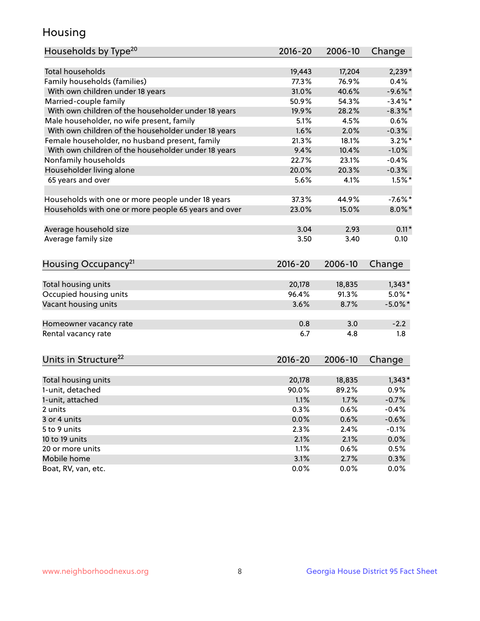## Housing

| Households by Type <sup>20</sup>                     | 2016-20         | 2006-10         | Change     |
|------------------------------------------------------|-----------------|-----------------|------------|
|                                                      |                 |                 |            |
| <b>Total households</b>                              | 19,443          | 17,204          | $2,239*$   |
| Family households (families)                         | 77.3%           | 76.9%           | 0.4%       |
| With own children under 18 years                     | 31.0%           | 40.6%           | $-9.6%$ *  |
| Married-couple family                                | 50.9%           | 54.3%           | $-3.4\%$ * |
| With own children of the householder under 18 years  | 19.9%           | 28.2%           | $-8.3\%$ * |
| Male householder, no wife present, family            | 5.1%            | 4.5%            | 0.6%       |
| With own children of the householder under 18 years  | 1.6%            | 2.0%            | $-0.3%$    |
| Female householder, no husband present, family       | 21.3%           | 18.1%           | $3.2\%$ *  |
| With own children of the householder under 18 years  | 9.4%            | 10.4%           | $-1.0%$    |
| Nonfamily households                                 | 22.7%           | 23.1%           | $-0.4%$    |
| Householder living alone                             | 20.0%           | 20.3%           | $-0.3%$    |
| 65 years and over                                    | 5.6%            | 4.1%            | $1.5%$ *   |
| Households with one or more people under 18 years    | 37.3%           | 44.9%           | $-7.6\%$ * |
| Households with one or more people 65 years and over | 23.0%           | 15.0%           | $8.0\%$ *  |
| Average household size                               | 3.04            | 2.93            | $0.11*$    |
| Average family size                                  | 3.50            | 3.40            | 0.10       |
|                                                      |                 |                 |            |
| Housing Occupancy <sup>21</sup>                      | $2016 - 20$     | 2006-10         | Change     |
|                                                      |                 |                 |            |
| Total housing units                                  | 20,178<br>96.4% | 18,835<br>91.3% | $1,343*$   |
| Occupied housing units                               |                 |                 | $5.0\%$ *  |
| Vacant housing units                                 | 3.6%            | 8.7%            | $-5.0\%$ * |
| Homeowner vacancy rate                               | 0.8             | 3.0             | $-2.2$     |
| Rental vacancy rate                                  | 6.7             | 4.8             | 1.8        |
|                                                      |                 |                 |            |
| Units in Structure <sup>22</sup>                     | $2016 - 20$     | 2006-10         | Change     |
| Total housing units                                  | 20,178          | 18,835          | $1,343*$   |
| 1-unit, detached                                     | 90.0%           | 89.2%           | 0.9%       |
| 1-unit, attached                                     | 1.1%            | 1.7%            | $-0.7%$    |
| 2 units                                              | 0.3%            | 0.6%            | $-0.4%$    |
| 3 or 4 units                                         | 0.0%            | 0.6%            | $-0.6%$    |
| 5 to 9 units                                         | 2.3%            | 2.4%            | $-0.1%$    |
| 10 to 19 units                                       | 2.1%            | 2.1%            | 0.0%       |
| 20 or more units                                     | 1.1%            | 0.6%            | 0.5%       |
| Mobile home                                          | 3.1%            | 2.7%            | 0.3%       |
| Boat, RV, van, etc.                                  | 0.0%            | 0.0%            | 0.0%       |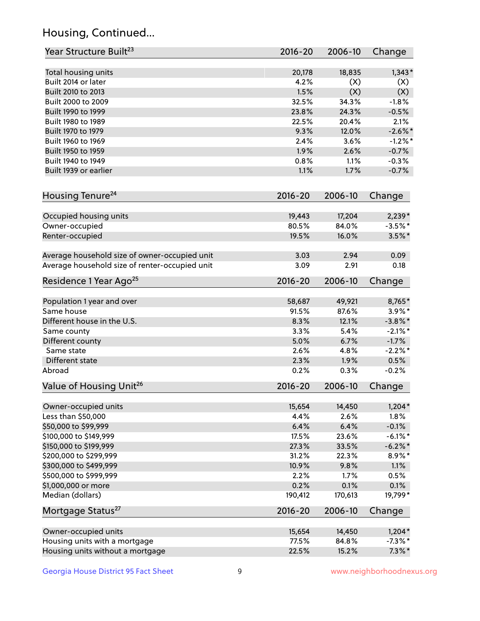## Housing, Continued...

| Year Structure Built <sup>23</sup>             | 2016-20     | 2006-10 | Change     |
|------------------------------------------------|-------------|---------|------------|
| Total housing units                            | 20,178      | 18,835  | $1,343*$   |
| Built 2014 or later                            | 4.2%        | (X)     | (X)        |
| Built 2010 to 2013                             | 1.5%        | (X)     | (X)        |
| Built 2000 to 2009                             | 32.5%       | 34.3%   | $-1.8%$    |
| Built 1990 to 1999                             | 23.8%       | 24.3%   | $-0.5%$    |
| Built 1980 to 1989                             | 22.5%       | 20.4%   | 2.1%       |
| Built 1970 to 1979                             | 9.3%        | 12.0%   | $-2.6\%$ * |
| Built 1960 to 1969                             | 2.4%        | 3.6%    | $-1.2%$    |
| Built 1950 to 1959                             | 1.9%        | 2.6%    | $-0.7%$    |
| Built 1940 to 1949                             | 0.8%        | 1.1%    | $-0.3%$    |
| Built 1939 or earlier                          | 1.1%        | 1.7%    | $-0.7%$    |
|                                                |             |         |            |
| Housing Tenure <sup>24</sup>                   | $2016 - 20$ | 2006-10 | Change     |
| Occupied housing units                         | 19,443      | 17,204  | $2,239*$   |
| Owner-occupied                                 | 80.5%       | 84.0%   | $-3.5%$ *  |
| Renter-occupied                                | 19.5%       | 16.0%   | $3.5\%$ *  |
| Average household size of owner-occupied unit  | 3.03        | 2.94    | 0.09       |
| Average household size of renter-occupied unit | 3.09        | 2.91    | 0.18       |
| Residence 1 Year Ago <sup>25</sup>             | $2016 - 20$ | 2006-10 | Change     |
| Population 1 year and over                     | 58,687      | 49,921  | 8,765*     |
| Same house                                     | 91.5%       | 87.6%   | $3.9\%$ *  |
| Different house in the U.S.                    | 8.3%        | 12.1%   | $-3.8\%$ * |
| Same county                                    | 3.3%        | 5.4%    | $-2.1\%$ * |
| Different county                               | 5.0%        | 6.7%    | $-1.7%$    |
| Same state                                     | 2.6%        | 4.8%    | $-2.2%$ *  |
| Different state                                | 2.3%        | 1.9%    | 0.5%       |
| Abroad                                         | 0.2%        | 0.3%    | $-0.2%$    |
| Value of Housing Unit <sup>26</sup>            | $2016 - 20$ | 2006-10 | Change     |
|                                                |             |         |            |
| Owner-occupied units                           | 15,654      | 14,450  | $1,204*$   |
| Less than \$50,000                             | 4.4%        | 2.6%    | 1.8%       |
| \$50,000 to \$99,999                           | 6.4%        | 6.4%    | $-0.1%$    |
| \$100,000 to \$149,999                         | 17.5%       | 23.6%   | $-6.1\%$ * |
| \$150,000 to \$199,999                         | 27.3%       | 33.5%   | $-6.2\%$ * |
| \$200,000 to \$299,999                         | 31.2%       | 22.3%   | 8.9%*      |
| \$300,000 to \$499,999                         | 10.9%       | 9.8%    | 1.1%       |
| \$500,000 to \$999,999                         | 2.2%        | 1.7%    | 0.5%       |
| \$1,000,000 or more                            | 0.2%        | 0.1%    | 0.1%       |
| Median (dollars)                               | 190,412     | 170,613 | 19,799*    |
| Mortgage Status <sup>27</sup>                  | $2016 - 20$ | 2006-10 | Change     |
| Owner-occupied units                           | 15,654      | 14,450  | $1,204*$   |
| Housing units with a mortgage                  | 77.5%       | 84.8%   | $-7.3\%$ * |
| Housing units without a mortgage               | 22.5%       | 15.2%   | $7.3\%$ *  |
|                                                |             |         |            |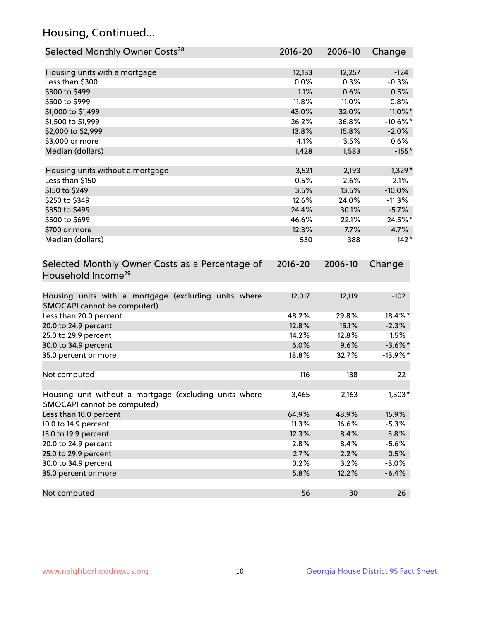## Housing, Continued...

| Selected Monthly Owner Costs <sup>28</sup>                                            | $2016 - 20$ | 2006-10 | Change      |
|---------------------------------------------------------------------------------------|-------------|---------|-------------|
| Housing units with a mortgage                                                         | 12,133      | 12,257  | $-124$      |
| Less than \$300                                                                       | 0.0%        | 0.3%    | $-0.3%$     |
| \$300 to \$499                                                                        | 1.1%        | 0.6%    | 0.5%        |
| \$500 to \$999                                                                        | 11.8%       | 11.0%   | 0.8%        |
| \$1,000 to \$1,499                                                                    | 43.0%       | 32.0%   | 11.0%*      |
| \$1,500 to \$1,999                                                                    | 26.2%       | 36.8%   | $-10.6\%$ * |
| \$2,000 to \$2,999                                                                    | 13.8%       | 15.8%   | $-2.0%$     |
| \$3,000 or more                                                                       | 4.1%        | 3.5%    | 0.6%        |
| Median (dollars)                                                                      | 1,428       | 1,583   | $-155*$     |
| Housing units without a mortgage                                                      | 3,521       | 2,193   | $1,329*$    |
| Less than \$150                                                                       | 0.5%        | 2.6%    | $-2.1%$     |
| \$150 to \$249                                                                        | 3.5%        | 13.5%   | $-10.0%$    |
| \$250 to \$349                                                                        | 12.6%       | 24.0%   | $-11.3%$    |
| \$350 to \$499                                                                        | 24.4%       | 30.1%   | $-5.7%$     |
| \$500 to \$699                                                                        | 46.6%       | 22.1%   | 24.5%*      |
| \$700 or more                                                                         | 12.3%       | 7.7%    | 4.7%        |
| Median (dollars)                                                                      | 530         | 388     | $142*$      |
| Selected Monthly Owner Costs as a Percentage of<br>Household Income <sup>29</sup>     | $2016 - 20$ | 2006-10 | Change      |
| Housing units with a mortgage (excluding units where<br>SMOCAPI cannot be computed)   | 12,017      | 12,119  | $-102$      |
| Less than 20.0 percent                                                                | 48.2%       | 29.8%   | 18.4%*      |
| 20.0 to 24.9 percent                                                                  | 12.8%       | 15.1%   | $-2.3%$     |
| 25.0 to 29.9 percent                                                                  | 14.2%       | 12.8%   | 1.5%        |
| 30.0 to 34.9 percent                                                                  | 6.0%        | 9.6%    | $-3.6\%$ *  |
| 35.0 percent or more                                                                  | 18.8%       | 32.7%   | $-13.9\%$ * |
| Not computed                                                                          | 116         | 138     | $-22$       |
| Housing unit without a mortgage (excluding units where<br>SMOCAPI cannot be computed) | 3,465       | 2,163   | $1,303*$    |
| Less than 10.0 percent                                                                | 64.9%       | 48.9%   | 15.9%       |
| 10.0 to 14.9 percent                                                                  | 11.3%       | 16.6%   | $-5.3%$     |
| 15.0 to 19.9 percent                                                                  | 12.3%       | 8.4%    | 3.8%        |
| 20.0 to 24.9 percent                                                                  | 2.8%        | 8.4%    | $-5.6%$     |
| 25.0 to 29.9 percent                                                                  | 2.7%        | 2.2%    | 0.5%        |
| 30.0 to 34.9 percent                                                                  | 0.2%        | 3.2%    | $-3.0%$     |
| 35.0 percent or more                                                                  | 5.8%        | 12.2%   | $-6.4%$     |
| Not computed                                                                          | 56          | 30      | 26          |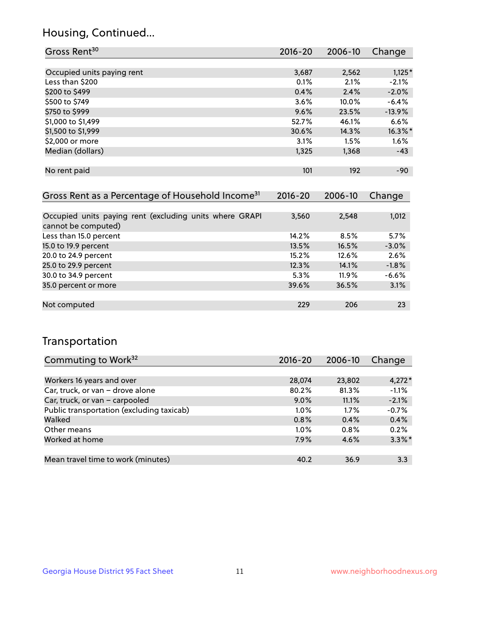## Housing, Continued...

| Gross Rent <sup>30</sup>   | 2016-20 | 2006-10 | Change     |
|----------------------------|---------|---------|------------|
|                            |         |         |            |
| Occupied units paying rent | 3,687   | 2,562   | $1,125*$   |
| Less than \$200            | 0.1%    | 2.1%    | $-2.1%$    |
| \$200 to \$499             | 0.4%    | 2.4%    | $-2.0%$    |
| \$500 to \$749             | 3.6%    | 10.0%   | $-6.4%$    |
| \$750 to \$999             | 9.6%    | 23.5%   | $-13.9%$   |
| \$1,000 to \$1,499         | 52.7%   | 46.1%   | 6.6%       |
| \$1,500 to \$1,999         | 30.6%   | 14.3%   | $16.3\%$ * |
| \$2,000 or more            | 3.1%    | 1.5%    | 1.6%       |
| Median (dollars)           | 1,325   | 1,368   | $-43$      |
|                            |         |         |            |
| No rent paid               | 101     | 192     | $-90$      |
|                            |         |         |            |

| Gross Rent as a Percentage of Household Income <sup>31</sup>                   | $2016 - 20$ | 2006-10 | Change  |
|--------------------------------------------------------------------------------|-------------|---------|---------|
|                                                                                |             |         |         |
| Occupied units paying rent (excluding units where GRAPI<br>cannot be computed) | 3,560       | 2,548   | 1,012   |
| Less than 15.0 percent                                                         | 14.2%       | 8.5%    | 5.7%    |
| 15.0 to 19.9 percent                                                           | 13.5%       | 16.5%   | $-3.0%$ |
| 20.0 to 24.9 percent                                                           | 15.2%       | 12.6%   | 2.6%    |
| 25.0 to 29.9 percent                                                           | 12.3%       | 14.1%   | $-1.8%$ |
| 30.0 to 34.9 percent                                                           | 5.3%        | 11.9%   | $-6.6%$ |
| 35.0 percent or more                                                           | 39.6%       | 36.5%   | 3.1%    |
|                                                                                |             |         |         |
| Not computed                                                                   | 229         | 206     | 23      |

## Transportation

| Commuting to Work <sup>32</sup>           | 2016-20 | 2006-10 | Change    |
|-------------------------------------------|---------|---------|-----------|
|                                           |         |         |           |
| Workers 16 years and over                 | 28,074  | 23,802  | $4,272*$  |
| Car, truck, or van - drove alone          | 80.2%   | 81.3%   | $-1.1%$   |
| Car, truck, or van - carpooled            | $9.0\%$ | 11.1%   | $-2.1%$   |
| Public transportation (excluding taxicab) | $1.0\%$ | $1.7\%$ | $-0.7%$   |
| Walked                                    | 0.8%    | 0.4%    | 0.4%      |
| Other means                               | $1.0\%$ | $0.8\%$ | 0.2%      |
| Worked at home                            | 7.9%    | 4.6%    | $3.3\%$ * |
|                                           |         |         |           |
| Mean travel time to work (minutes)        | 40.2    | 36.9    | 3.3       |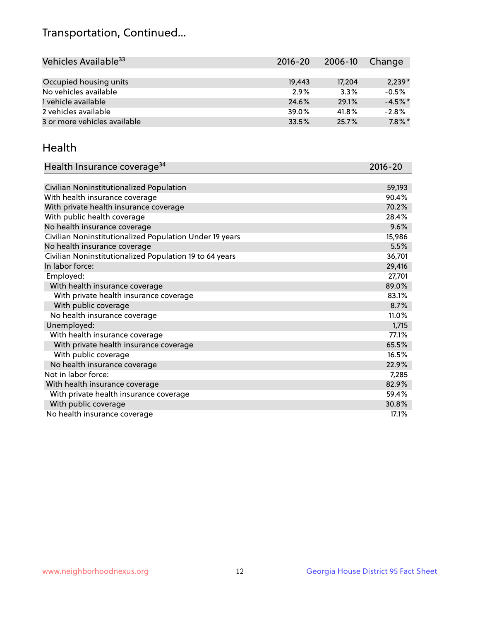## Transportation, Continued...

| Vehicles Available <sup>33</sup> | $2016 - 20$ | $2006 - 10$ | Change    |
|----------------------------------|-------------|-------------|-----------|
|                                  |             |             |           |
| Occupied housing units           | 19,443      | 17,204      | $2,239*$  |
| No vehicles available            | 2.9%        | 3.3%        | $-0.5%$   |
| 1 vehicle available              | 24.6%       | 29.1%       | $-4.5%$ * |
| 2 vehicles available             | 39.0%       | 41.8%       | $-2.8%$   |
| 3 or more vehicles available     | 33.5%       | 25.7%       | $7.8\%$ * |

#### Health

| Health Insurance coverage <sup>34</sup>                 | 2016-20 |
|---------------------------------------------------------|---------|
|                                                         |         |
| Civilian Noninstitutionalized Population                | 59,193  |
| With health insurance coverage                          | 90.4%   |
| With private health insurance coverage                  | 70.2%   |
| With public health coverage                             | 28.4%   |
| No health insurance coverage                            | 9.6%    |
| Civilian Noninstitutionalized Population Under 19 years | 15,986  |
| No health insurance coverage                            | 5.5%    |
| Civilian Noninstitutionalized Population 19 to 64 years | 36,701  |
| In labor force:                                         | 29,416  |
| Employed:                                               | 27,701  |
| With health insurance coverage                          | 89.0%   |
| With private health insurance coverage                  | 83.1%   |
| With public coverage                                    | 8.7%    |
| No health insurance coverage                            | 11.0%   |
| Unemployed:                                             | 1,715   |
| With health insurance coverage                          | 77.1%   |
| With private health insurance coverage                  | 65.5%   |
| With public coverage                                    | 16.5%   |
| No health insurance coverage                            | 22.9%   |
| Not in labor force:                                     | 7,285   |
| With health insurance coverage                          | 82.9%   |
| With private health insurance coverage                  | 59.4%   |
| With public coverage                                    | 30.8%   |
| No health insurance coverage                            | 17.1%   |